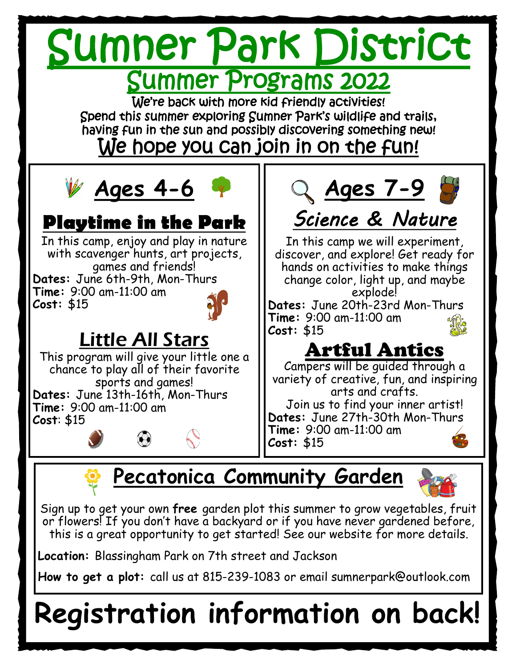

# **Pecatonica Community Garden**

Sign up to get your own **free** garden plot this summer to grow vegetables, fruit or flowers! If you don't have a backyard or if you have never gardened before, this is a great opportunity to get started! See our website for more details.

**Location:** Blassingham Park on 7th street and Jackson

**How to get a plot:** call us at 815-239-1083 or email sumnerpark@outlook.com

# **Registration information on back!**